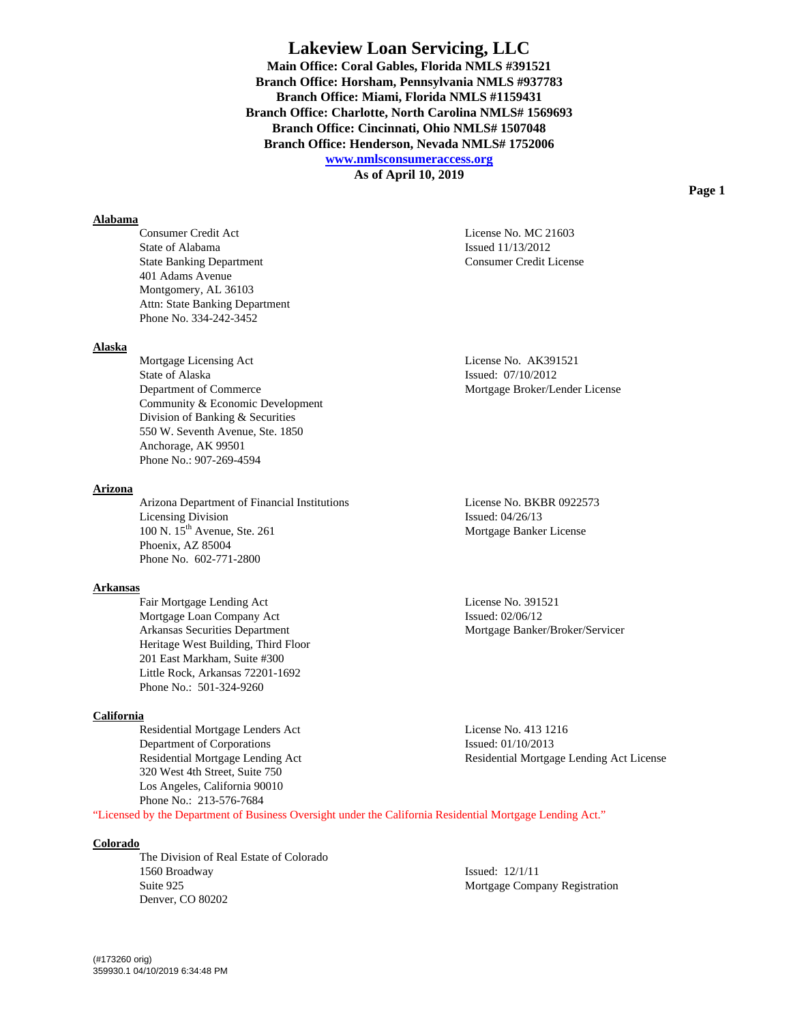**As of April 10, 2019** 

#### **Alabama**

 Consumer Credit Act License No. MC 21603 State of Alabama<br>Issued 11/13/2012 State Banking Department Consumer Credit License 401 Adams Avenue Montgomery, AL 36103 Attn: State Banking Department Phone No. 334-242-3452

## **Alaska**

Mortgage Licensing Act License No. AK391521 State of Alaska Issued: 07/10/2012 Department of Commerce Mortgage Broker/Lender License Community & Economic Development Division of Banking & Securities 550 W. Seventh Avenue, Ste. 1850 Anchorage, AK 99501 Phone No.: 907-269-4594

# **Arizona**

 Arizona Department of Financial Institutions License No. BKBR 0922573 Licensing Division Issued: 04/26/13 100 N. 15<sup>th</sup> Avenue, Ste. 261 Mortgage Banker License Phoenix, AZ 85004 Phone No. 602-771-2800

# **Arkansas**

Fair Mortgage Lending Act License No. 391521 Mortgage Loan Company Act Issued: 02/06/12 Arkansas Securities Department Mortgage Banker/Broker/Servicer Heritage West Building, Third Floor 201 East Markham, Suite #300 Little Rock, Arkansas 72201-1692 Phone No.: 501-324-9260

## **California**

 Residential Mortgage Lenders Act License No. 413 1216 Department of Corporations Issued: 01/10/2013 320 West 4th Street, Suite 750 Los Angeles, California 90010 Phone No.: 213-576-7684

Residential Mortgage Lending Act Residential Mortgage Lending Act License

"Licensed by the Department of Business Oversight under the California Residential Mortgage Lending Act."

#### **Colorado**

The Division of Real Estate of Colorado 1560 Broadway Issued: 12/1/11 Suite 925 Mortgage Company Registration Denver, CO 80202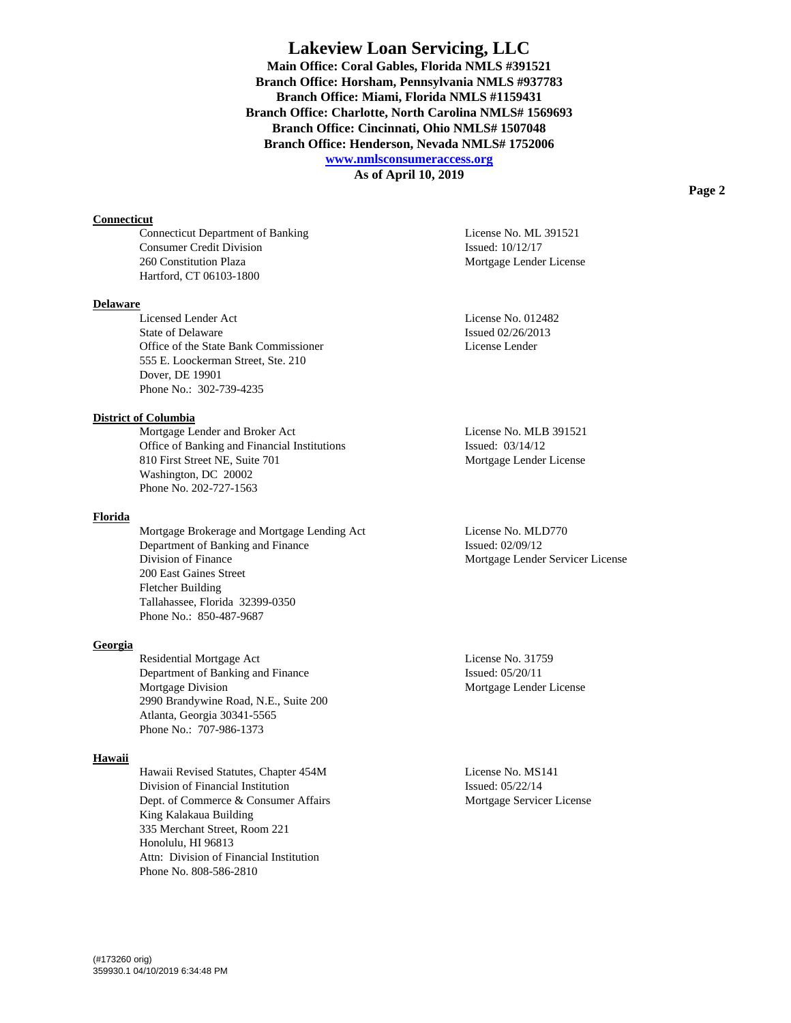**As of April 10, 2019** 

#### **Connecticut**

Connecticut Department of Banking License No. ML 391521 Consumer Credit Division Issued: 10/12/17 260 Constitution Plaza Mortgage Lender License Hartford, CT 06103-1800

#### **Delaware**

 Licensed Lender Act License No. 012482 State of Delaware Issued 02/26/2013 Office of the State Bank Commissioner License Lender 555 E. Loockerman Street, Ste. 210 Dover, DE 19901 Phone No.: 302-739-4235

# **District of Columbia**

Mortgage Lender and Broker Act License No. MLB 391521 Office of Banking and Financial Institutions Issued: 03/14/12 810 First Street NE, Suite 701 Mortgage Lender License Washington, DC 20002 Phone No. 202-727-1563

#### **Florida**

Mortgage Brokerage and Mortgage Lending Act License No. MLD770 Department of Banking and Finance Issued: 02/09/12 Division of Finance Mortgage Lender Servicer License 200 East Gaines Street Fletcher Building Tallahassee, Florida 32399-0350 Phone No.: 850-487-9687

#### **Georgia**

Residential Mortgage Act License No. 31759 Department of Banking and Finance Issued: 05/20/11 Mortgage Division **Mortgage Lender License**  2990 Brandywine Road, N.E., Suite 200 Atlanta, Georgia 30341-5565 Phone No.: 707-986-1373

# **Hawaii**

 Hawaii Revised Statutes, Chapter 454M License No. MS141 Division of Financial Institution Issued: 05/22/14 Dept. of Commerce & Consumer Affairs Mortgage Servicer License King Kalakaua Building 335 Merchant Street, Room 221 Honolulu, HI 96813 Attn: Division of Financial Institution Phone No. 808-586-2810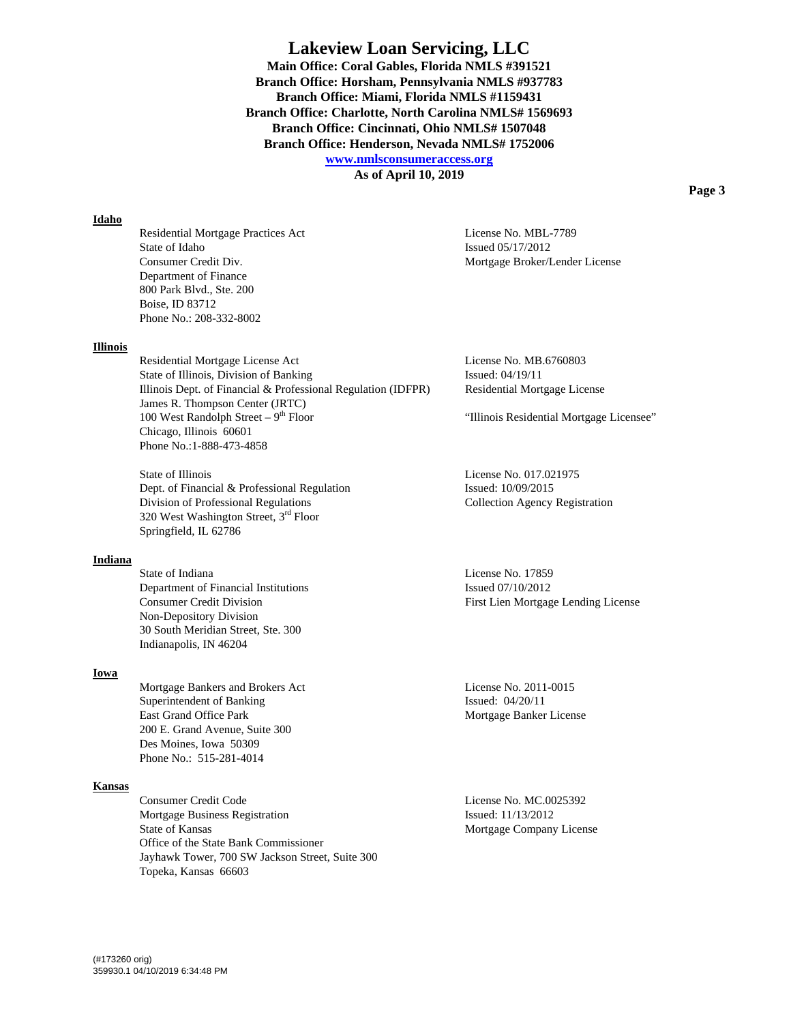**As of April 10, 2019** 

# **Idaho**

Residential Mortgage Practices Act License No. MBL-7789 State of Idaho Issued 05/17/2012 Consumer Credit Div. Mortgage Broker/Lender License Department of Finance 800 Park Blvd., Ste. 200 Boise, ID 83712 Phone No.: 208-332-8002

#### **Illinois**

Residential Mortgage License Act License No. MB.6760803 State of Illinois, Division of Banking Issued: 04/19/11 Illinois Dept. of Financial & Professional Regulation (IDFPR) Residential Mortgage License James R. Thompson Center (JRTC) 100 West Randolph Street –  $9<sup>th</sup>$  Floor "Illinois Residential Mortgage Licensee" Chicago, Illinois 60601 Phone No.:1-888-473-4858

State of Illinois License No. 017.021975 Dept. of Financial & Professional Regulation Issued: 10/09/2015 Division of Professional Regulations Collection Agency Registration 320 West Washington Street, 3rd Floor Springfield, IL 62786

## **Indiana**

State of Indiana **License No. 17859** Department of Financial Institutions Issued 07/10/2012 Non-Depository Division 30 South Meridian Street, Ste. 300 Indianapolis, IN 46204

#### **Iowa**

Mortgage Bankers and Brokers Act License No. 2011-0015 Superintendent of Banking Issued: 04/20/11 East Grand Office Park Mortgage Banker License 200 E. Grand Avenue, Suite 300 Des Moines, Iowa 50309 Phone No.: 515-281-4014

#### **Kansas**

Consumer Credit Code License No. MC.0025392 Mortgage Business Registration Issued: 11/13/2012 State of Kansas Mortgage Company License Office of the State Bank Commissioner Jayhawk Tower, 700 SW Jackson Street, Suite 300 Topeka, Kansas 66603

Consumer Credit Division First Lien Mortgage Lending License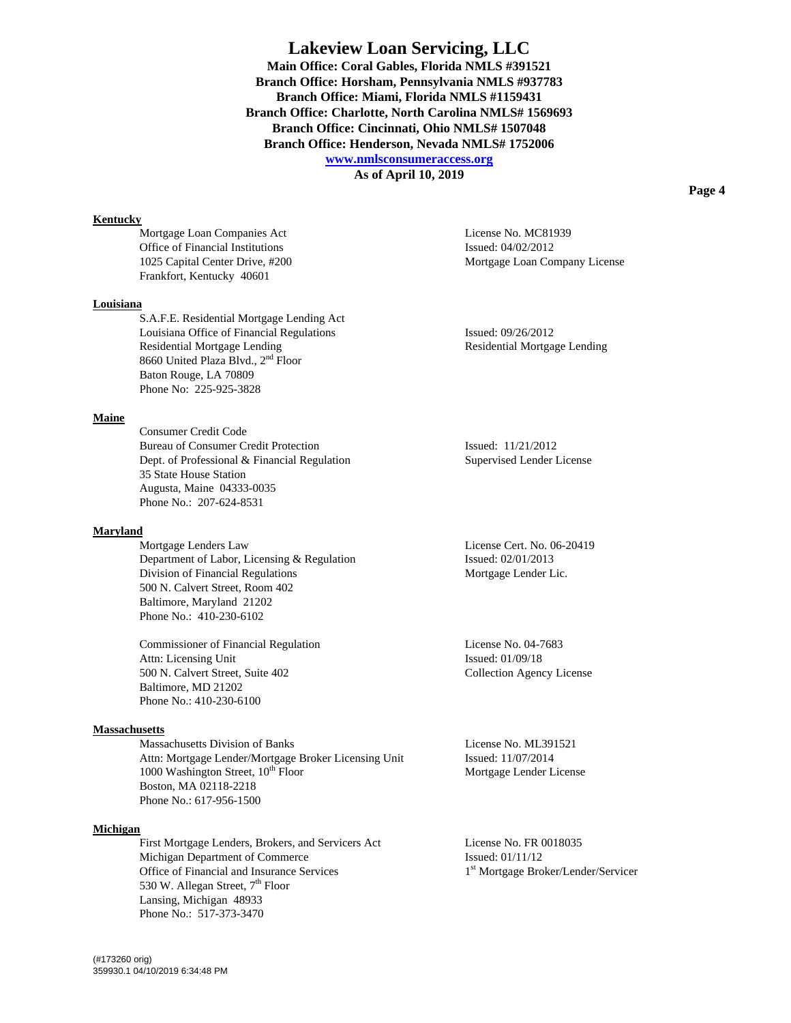**As of April 10, 2019** 

## **Kentucky**

Mortgage Loan Companies Act License No. MC81939 Office of Financial Institutions Issued: 04/02/2012 Frankfort, Kentucky 40601

#### **Louisiana**

 S.A.F.E. Residential Mortgage Lending Act Louisiana Office of Financial Regulations Issued: 09/26/2012 Residential Mortgage Lending Theorem 2012 Residential Mortgage Lending 8660 United Plaza Blvd., 2nd Floor Baton Rouge, LA 70809 Phone No: 225-925-3828

# **Maine**

 Consumer Credit Code Bureau of Consumer Credit Protection Issued: 11/21/2012 Dept. of Professional & Financial Regulation Supervised Lender License 35 State House Station Augusta, Maine 04333-0035 Phone No.: 207-624-8531

# **Maryland**

 Mortgage Lenders Law License Cert. No. 06-20419 Department of Labor, Licensing & Regulation Issued: 02/01/2013 Division of Financial Regulations Mortgage Lender Lic. 500 N. Calvert Street, Room 402 Baltimore, Maryland 21202 Phone No.: 410-230-6102

 Commissioner of Financial Regulation License No. 04-7683 Attn: Licensing Unit Issued: 01/09/18 500 N. Calvert Street, Suite 402 Collection Agency License Baltimore, MD 21202 Phone No.: 410-230-6100

## **Massachusetts**

Massachusetts Division of Banks License No. ML391521 Attn: Mortgage Lender/Mortgage Broker Licensing Unit Issued: 11/07/2014 1000 Washington Street, 10<sup>th</sup> Floor Mortgage Lender License Boston, MA 02118-2218 Phone No.: 617-956-1500

## **Michigan**

First Mortgage Lenders, Brokers, and Servicers Act License No. FR 0018035 Michigan Department of Commerce Issued: 01/11/12 Office of Financial and Insurance Services 1st Mortgage Broker/Lender/Servicer 530 W. Allegan Street, 7<sup>th</sup> Floor Lansing, Michigan 48933 Phone No.: 517-373-3470

1025 Capital Center Drive, #200 Mortgage Loan Company License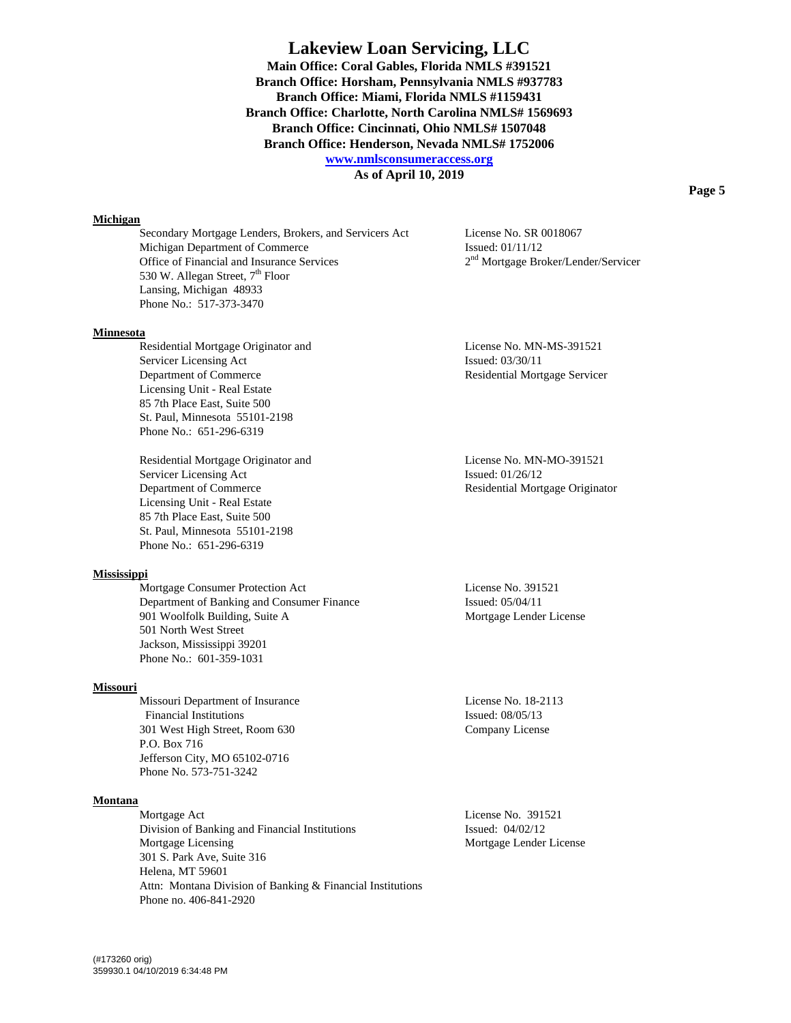**As of April 10, 2019** 

#### **Michigan**

Secondary Mortgage Lenders, Brokers, and Servicers Act License No. SR 0018067 Michigan Department of Commerce Issued: 01/11/12 Office of Financial and Insurance Services 2<sup>nd</sup> Mortgage Broker/Lender/Servicer 530 W. Allegan Street, 7<sup>th</sup> Floor Lansing, Michigan 48933 Phone No.: 517-373-3470

# **Minnesota**

 Residential Mortgage Originator and License No. MN-MS-391521 Servicer Licensing Act Issued: 03/30/11 Department of Commerce Residential Mortgage Servicer Licensing Unit - Real Estate 85 7th Place East, Suite 500 St. Paul, Minnesota 55101-2198 Phone No.: 651-296-6319

 Residential Mortgage Originator and License No. MN-MO-391521 Servicer Licensing Act Issued: 01/26/12 Department of Commerce Residential Mortgage Originator Licensing Unit - Real Estate 85 7th Place East, Suite 500 St. Paul, Minnesota 55101-2198 Phone No.: 651-296-6319

# **Mississippi**

Mortgage Consumer Protection Act License No. 391521 Department of Banking and Consumer Finance Issued: 05/04/11 901 Woolfolk Building, Suite A Mortgage Lender License 501 North West Street Jackson, Mississippi 39201 Phone No.: 601-359-1031

#### **Missouri**

Missouri Department of Insurance License No. 18-2113 Financial Institutions Issued: 08/05/13 301 West High Street, Room 630 Company License P.O. Box 716 Jefferson City, MO 65102-0716 Phone No. 573-751-3242

# **Montana**

Mortgage Act License No. 391521 Division of Banking and Financial Institutions Issued: 04/02/12 Mortgage Licensing Mortgage Lender License 301 S. Park Ave, Suite 316 Helena, MT 59601 Attn: Montana Division of Banking & Financial Institutions Phone no. 406-841-2920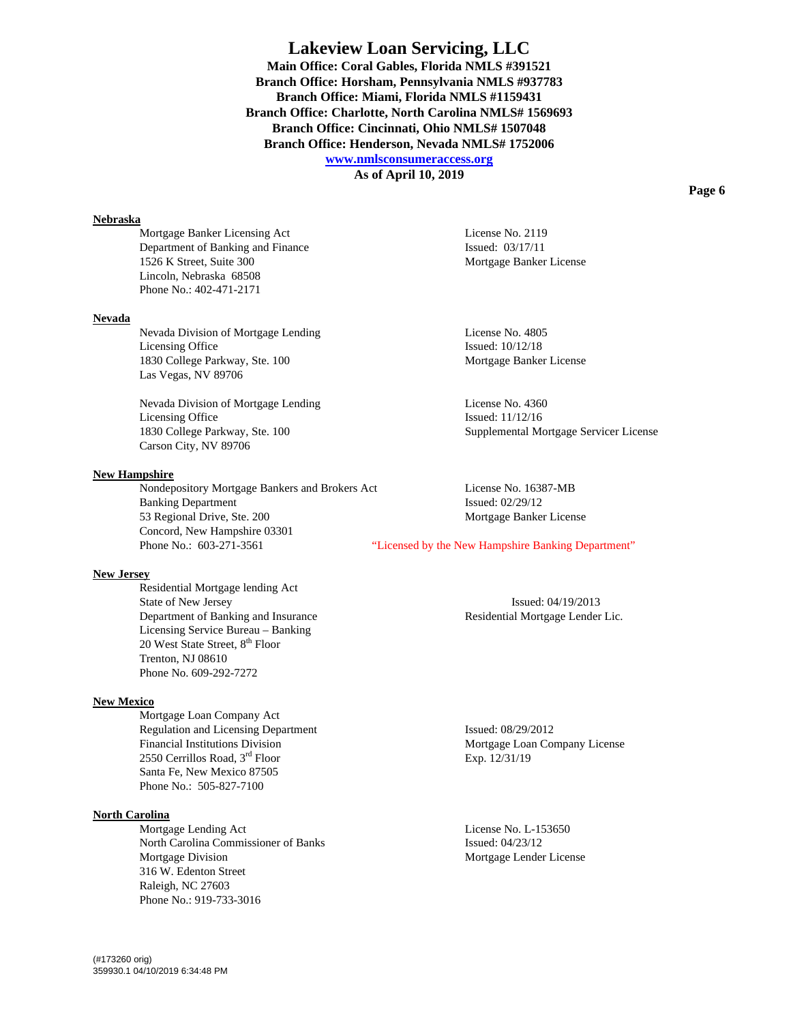**As of April 10, 2019** 

## **Nebraska**

Mortgage Banker Licensing Act License No. 2119 Department of Banking and Finance Issued: 03/17/11 1526 K Street, Suite 300 Mortgage Banker License Lincoln, Nebraska 68508 Phone No.: 402-471-2171

# **Nevada**

Nevada Division of Mortgage Lending License No. 4805 Licensing Office Issued: 10/12/18 1830 College Parkway, Ste. 100 Mortgage Banker License Las Vegas, NV 89706

Nevada Division of Mortgage Lending License No. 4360 Licensing Office Issued: 11/12/16 Carson City, NV 89706

#### **New Hampshire**

 Nondepository Mortgage Bankers and Brokers Act License No. 16387-MB Banking Department Issued: 02/29/12 53 Regional Drive, Ste. 200 Mortgage Banker License Concord, New Hampshire 03301 Phone No.: 603-271-3561 "Licensed by the New Hampshire Banking Department"

# **New Jersey**

 Residential Mortgage lending Act State of New Jersey Issued: 04/19/2013 Department of Banking and Insurance Residential Mortgage Lender Lic. Licensing Service Bureau – Banking 20 West State Street, 8<sup>th</sup> Floor Trenton, NJ 08610 Phone No. 609-292-7272

# **New Mexico**

 Mortgage Loan Company Act Regulation and Licensing Department Issued: 08/29/2012 Financial Institutions Division **Mortgage Loan Company License** Mortgage Loan Company License 2550 Cerrillos Road, 3<sup>rd</sup> Floor Exp. 12/31/19 Santa Fe, New Mexico 87505 Phone No.: 505-827-7100

#### **North Carolina**

Mortgage Lending Act License No. L-153650 North Carolina Commissioner of Banks Issued: 04/23/12 Mortgage Division Mortgage Lender License 316 W. Edenton Street Raleigh, NC 27603 Phone No.: 919-733-3016

1830 College Parkway, Ste. 100 Supplemental Mortgage Servicer License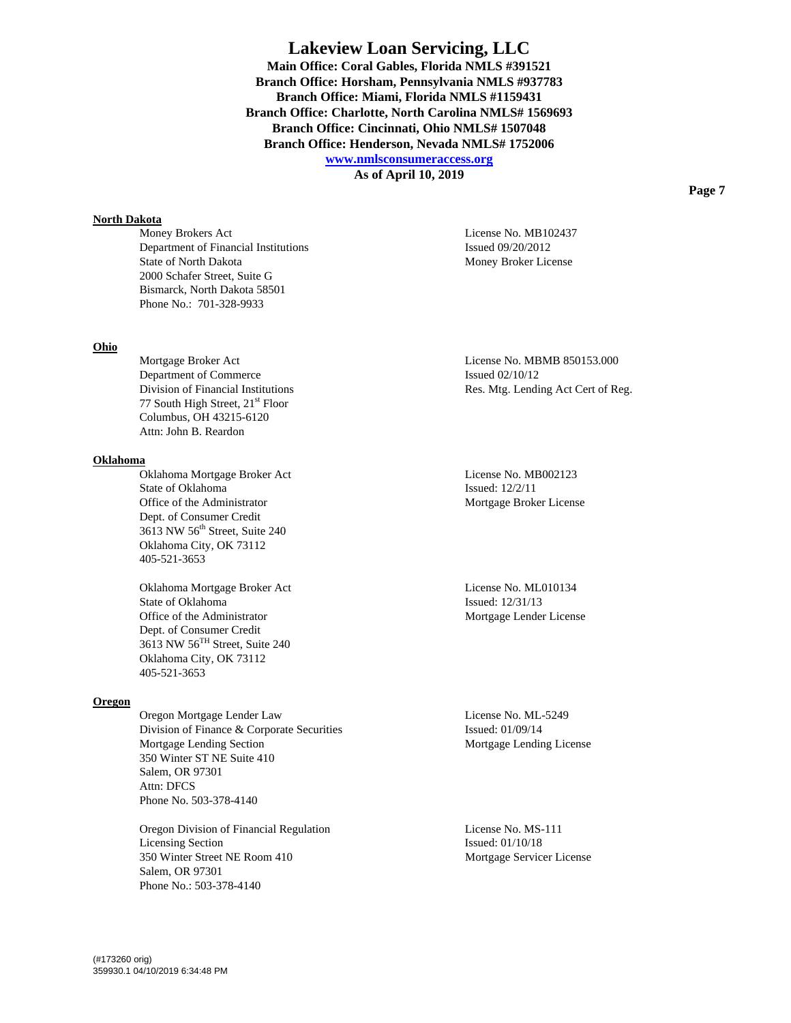**As of April 10, 2019** 

#### **North Dakota**

Money Brokers Act License No. MB102437 Department of Financial Institutions Issued 09/20/2012 State of North Dakota Money Broker License 2000 Schafer Street, Suite G Bismarck, North Dakota 58501 Phone No.: 701-328-9933

# **Ohio**

Department of Commerce Issued 02/10/12 77 South High Street, 21<sup>st</sup> Floor Columbus, OH 43215-6120 Attn: John B. Reardon

## **Oklahoma**

 Oklahoma Mortgage Broker Act License No. MB002123 State of Oklahoma Issued: 12/2/11 Office of the Administrator Mortgage Broker License Dept. of Consumer Credit 3613 NW 56<sup>th</sup> Street, Suite 240 Oklahoma City, OK 73112 405-521-3653

Oklahoma Mortgage Broker Act License No. ML010134 State of Oklahoma Issued: 12/31/13 Office of the Administrator Mortgage Lender License Dept. of Consumer Credit 3613 NW 56TH Street, Suite 240 Oklahoma City, OK 73112 405-521-3653

## **Oregon**

 Oregon Mortgage Lender Law License No. ML-5249 Division of Finance & Corporate Securities Issued: 01/09/14 Mortgage Lending Section and Section Mortgage Lending License 350 Winter ST NE Suite 410 Salem, OR 97301 Attn: DFCS Phone No. 503-378-4140

 Oregon Division of Financial Regulation License No. MS-111 Licensing Section Issued: 01/10/18 350 Winter Street NE Room 410 Mortgage Servicer License Salem, OR 97301 Phone No.: 503-378-4140

Mortgage Broker Act **License No. MBMB 850153.000** Division of Financial Institutions Res. Mtg. Lending Act Cert of Reg.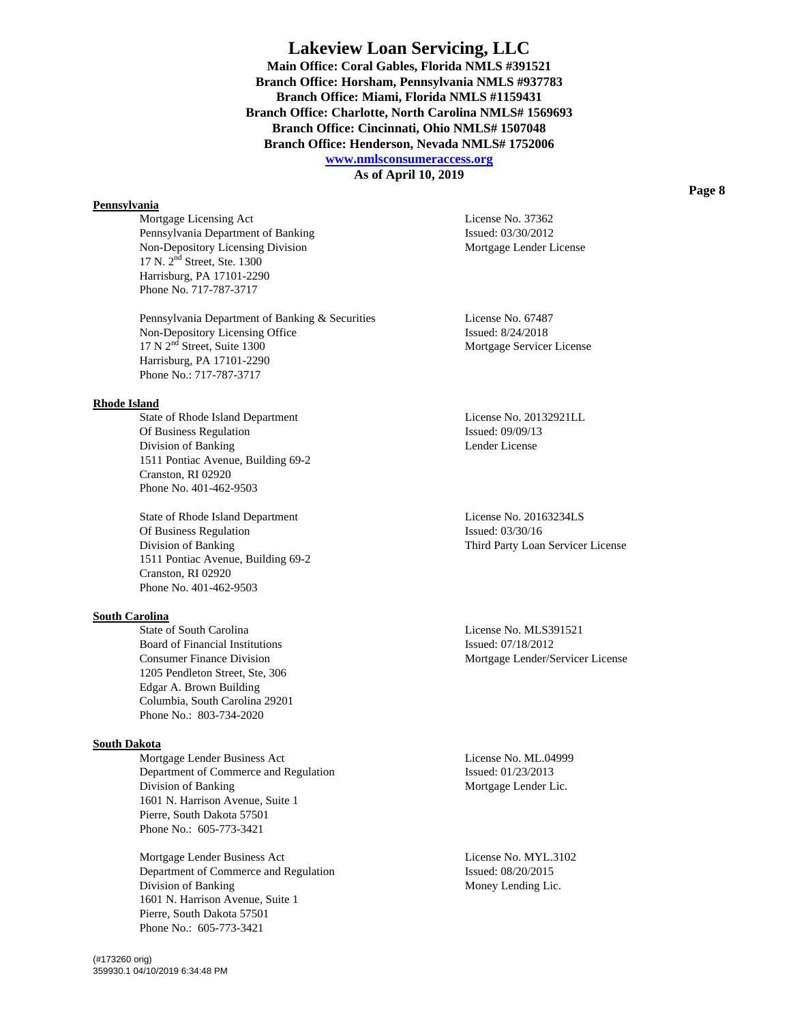**As of April 10, 2019** 

# **Pennsylvania**

Mortgage Licensing Act License No. 37362 Pennsylvania Department of Banking Issued: 03/30/2012 Non-Depository Licensing Division Mortgage Lender License 17 N. 2nd Street, Ste. 1300 Harrisburg, PA 17101-2290 Phone No. 717-787-3717

Pennsylvania Department of Banking & Securities License No. 67487 Non-Depository Licensing Office Issued: 8/24/2018<br>
17 N 2<sup>nd</sup> Street, Suite 1300<br>
Mortgage Service Harrisburg, PA 17101-2290 Phone No.: 717-787-3717

# **Rhode Island**

State of Rhode Island Department License No. 20132921LL Of Business Regulation Issued: 09/09/13 Division of Banking Lender License 1511 Pontiac Avenue, Building 69-2 Cranston, RI 02920 Phone No. 401-462-9503

State of Rhode Island Department License No. 20163234LS Of Business Regulation Issued: 03/30/16 Division of Banking Third Party Loan Servicer License 1511 Pontiac Avenue, Building 69-2 Cranston, RI 02920 Phone No. 401-462-9503

# **South Carolina**

State of South Carolina **License No. MLS391521** Board of Financial Institutions Issued: 07/18/2012 1205 Pendleton Street, Ste, 306 Edgar A. Brown Building Columbia, South Carolina 29201 Phone No.: 803-734-2020

# **South Dakota**

Mortgage Lender Business Act License No. ML.04999 Department of Commerce and Regulation Issued: 01/23/2013 Division of Banking **Mortgage Lender Lic.** Mortgage Lender Lic. 1601 N. Harrison Avenue, Suite 1 Pierre, South Dakota 57501 Phone No.: 605-773-3421

Mortgage Lender Business Act License No. MYL.3102 Department of Commerce and Regulation Issued: 08/20/2015 Division of Banking Money Lending Lic. 1601 N. Harrison Avenue, Suite 1 Pierre, South Dakota 57501 Phone No.: 605-773-3421

Mortgage Servicer License

Consumer Finance Division **Mortgage Lender/Servicer License** Mortgage Lender/Servicer License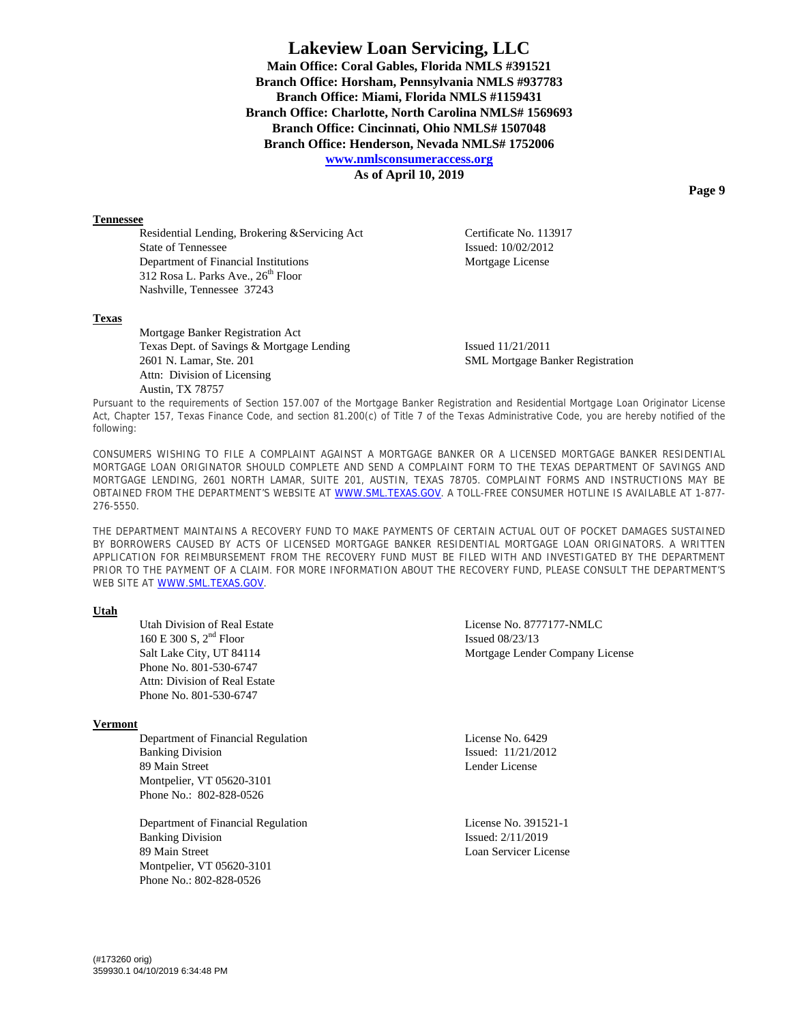**As of April 10, 2019** 

#### **Tennessee**

Residential Lending, Brokering &Servicing Act Certificate No. 113917 State of Tennessee Issued: 10/02/2012 Department of Financial Institutions Mortgage License 312 Rosa L. Parks Ave., 26<sup>th</sup> Floor Nashville, Tennessee 37243

# **Texas**

 Mortgage Banker Registration Act Texas Dept. of Savings & Mortgage Lending Issued 11/21/2011 2601 N. Lamar, Ste. 201 SML Mortgage Banker Registration Attn: Division of Licensing Austin, TX 78757

Pursuant to the requirements of Section 157.007 of the Mortgage Banker Registration and Residential Mortgage Loan Originator License Act, Chapter 157, Texas Finance Code, and section 81.200(c) of Title 7 of the Texas Administrative Code, you are hereby notified of the following:

CONSUMERS WISHING TO FILE A COMPLAINT AGAINST A MORTGAGE BANKER OR A LICENSED MORTGAGE BANKER RESIDENTIAL MORTGAGE LOAN ORIGINATOR SHOULD COMPLETE AND SEND A COMPLAINT FORM TO THE TEXAS DEPARTMENT OF SAVINGS AND MORTGAGE LENDING, 2601 NORTH LAMAR, SUITE 201, AUSTIN, TEXAS 78705. COMPLAINT FORMS AND INSTRUCTIONS MAY BE OBTAINED FROM THE DEPARTMENT'S WEBSITE AT WWW.SML.TEXAS.GOV. A TOLL-FREE CONSUMER HOTLINE IS AVAILABLE AT 1-877-276-5550.

THE DEPARTMENT MAINTAINS A RECOVERY FUND TO MAKE PAYMENTS OF CERTAIN ACTUAL OUT OF POCKET DAMAGES SUSTAINED BY BORROWERS CAUSED BY ACTS OF LICENSED MORTGAGE BANKER RESIDENTIAL MORTGAGE LOAN ORIGINATORS. A WRITTEN APPLICATION FOR REIMBURSEMENT FROM THE RECOVERY FUND MUST BE FILED WITH AND INVESTIGATED BY THE DEPARTMENT PRIOR TO THE PAYMENT OF A CLAIM. FOR MORE INFORMATION ABOUT THE RECOVERY FUND, PLEASE CONSULT THE DEPARTMENT'S WEB SITE AT WWW.SML.TEXAS.GOV.

# **Utah**

160 E 300 S,  $2<sup>nd</sup>$  Floor Issued 08/23/13 Phone No. 801-530-6747 Attn: Division of Real Estate Phone No. 801-530-6747

#### **Vermont**

Department of Financial Regulation License No. 6429 Banking Division **Issued:** 11/21/2012 89 Main Street **Lender License** Lender License Montpelier, VT 05620-3101 Phone No.: 802-828-0526

 Department of Financial Regulation License No. 391521-1 Banking Division Issued:  $2/11/2019$ 89 Main Street License Loan Servicer License Montpelier, VT 05620-3101 Phone No.: 802-828-0526

Utah Division of Real Estate License No. 8777177-NMLC Salt Lake City, UT 84114 Mortgage Lender Company License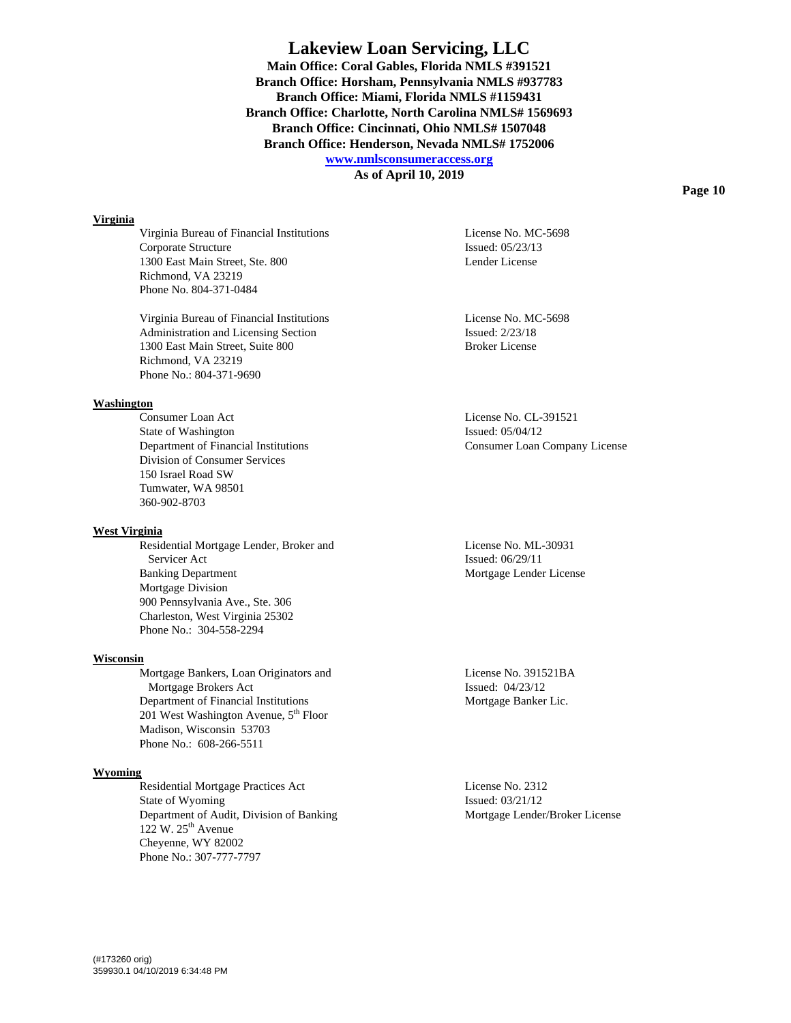**As of April 10, 2019** 

## **Virginia**

 Virginia Bureau of Financial Institutions License No. MC-5698 Corporate Structure Issued: 05/23/13 1300 East Main Street, Ste. 800 Lender License Richmond, VA 23219 Phone No. 804-371-0484

 Virginia Bureau of Financial Institutions License No. MC-5698 Administration and Licensing Section Issued:  $2/23/18$ 1300 East Main Street, Suite 800 Broker License Richmond, VA 23219 Phone No.: 804-371-9690

# **Washington**

 Consumer Loan Act License No. CL-391521 State of Washington Issued: 05/04/12 Department of Financial Institutions Consumer Loan Company License Division of Consumer Services 150 Israel Road SW Tumwater, WA 98501 360-902-8703

# **West Virginia**

 Residential Mortgage Lender, Broker and License No. ML-30931 Servicer Act Issued: 06/29/11 Banking Department Mortgage Lender License Mortgage Division 900 Pennsylvania Ave., Ste. 306 Charleston, West Virginia 25302 Phone No.: 304-558-2294

# **Wisconsin**

Mortgage Bankers, Loan Originators and License No. 391521BA Mortgage Brokers Act Issued: 04/23/12 Department of Financial Institutions Mortgage Banker Lic. 201 West Washington Avenue,  $5<sup>th</sup>$  Floor Madison, Wisconsin 53703 Phone No.: 608-266-5511

#### **Wyoming**

Residential Mortgage Practices Act License No. 2312 State of Wyoming Issued: 03/21/12 Department of Audit, Division of Banking Mortgage Lender/Broker License 122 W.  $25<sup>th</sup>$  Avenue Cheyenne, WY 82002 Phone No.: 307-777-7797